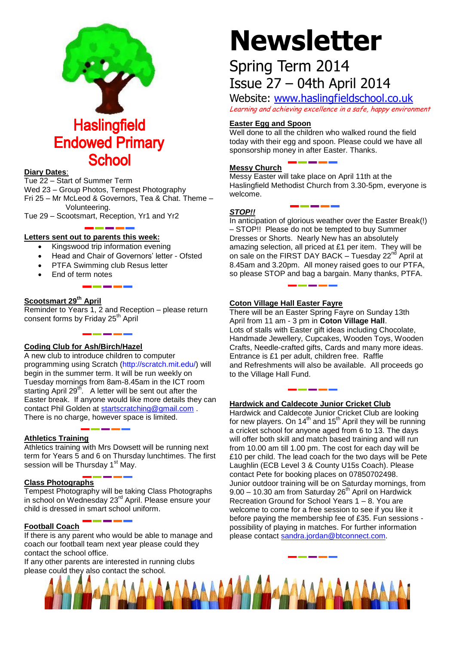

#### **Diary Dates**:

Tue 22 – Start of Summer Term Wed 23 – Group Photos, Tempest Photography Fri 25 – Mr McLeod & Governors, Tea & Chat. Theme – Volunteering.

Tue 29 – Scootsmart, Reception, Yr1 and Yr2

#### **Letters sent out to parents this week:**

- Kingswood trip information evening
- Head and Chair of Governors' letter Ofsted
- PTFA Swimming club Resus letter
- End of term notes

#### **Scootsmart 29th April**

Reminder to Years 1, 2 and Reception – please return consent forms by Friday 25<sup>th</sup> April

#### **Coding Club for Ash/Birch/Hazel**

A new club to introduce children to computer programming using Scratch [\(http://scratch.mit.edu/\)](http://scratch.mit.edu/) will begin in the summer term. It will be run weekly on Tuesday mornings from 8am-8.45am in the ICT room starting April 29<sup>th</sup>. A letter will be sent out after the Easter break. If anyone would like more details they can contact Phil Golden at [startscratching@gmail.com](mailto:startscratching@gmail.com) . There is no charge, however space is limited.

#### **Athletics Training**

Athletics training with Mrs Dowsett will be running next term for Years 5 and 6 on Thursday lunchtimes. The first session will be Thursday 1<sup>st</sup> May.

#### **Class Photographs**

Tempest Photography will be taking Class Photographs in school on Wednesday 23<sup>rd</sup> April. Please ensure your child is dressed in smart school uniform.

#### **Football Coach**

If there is any parent who would be able to manage and coach our football team next year please could they contact the school office.

If any other parents are interested in running clubs please could they also contact the school.

# **Newsletter**

## Spring Term 2014 Issue 27 – 04th April 2014

Website: [www.haslingfieldschool.co.uk](http://www.haslingfieldschool.co.uk/) Learning and achieving excellence in a safe, happy environment

#### **Easter Egg and Spoon**

Well done to all the children who walked round the field today with their egg and spoon. Please could we have all sponsorship money in after Easter. Thanks.

#### **Messy Church**

Messy Easter will take place on April 11th at the Haslingfield Methodist Church from 3.30-5pm, everyone is welcome.

#### *STOP!!*

In anticipation of glorious weather over the Easter Break(!) – STOP!! Please do not be tempted to buy Summer Dresses or Shorts. Nearly New has an absolutely amazing selection, all priced at £1 per item. They will be on sale on the FIRST DAY BACK - Tuesday 22<sup>nd</sup> April at 8.45am and 3.20pm. All money raised goes to our PTFA, so please STOP and bag a bargain. Many thanks, PTFA.

#### **Coton Village Hall Easter Fayre**

There will be an Easter Spring Fayre on Sunday 13th April from 11 am - 3 pm in **Coton Village Hall**. Lots of stalls with Easter gift ideas including Chocolate, Handmade Jewellery, Cupcakes, Wooden Toys, Wooden Crafts, Needle-crafted gifts, Cards and many more ideas. Entrance is £1 per adult, children free. Raffle and Refreshments will also be available. All proceeds go to the Village Hall Fund.

#### **Hardwick and Caldecote Junior Cricket Club**

Hardwick and Caldecote Junior Cricket Club are looking for new players. On 14<sup>th</sup> and 15<sup>th</sup> April they will be running a cricket school for anyone aged from 6 to 13. The days will offer both skill and match based training and will run from 10.00 am till 1.00 pm. The cost for each day will be £10 per child. The lead coach for the two days will be Pete Laughlin (ECB Level 3 & County U15s Coach). Please contact Pete for booking places on 07850702498. Junior outdoor training will be on Saturday mornings, from  $9.00 - 10.30$  am from Saturday 26<sup>th</sup> April on Hardwick Recreation Ground for School Years 1 – 8. You are welcome to come for a free session to see if you like it before paying the membership fee of £35. Fun sessions possibility of playing in matches. For further information please contact [sandra.jordan@btconnect.com](mailto:sandra.jordan@btconnect.com)*.*